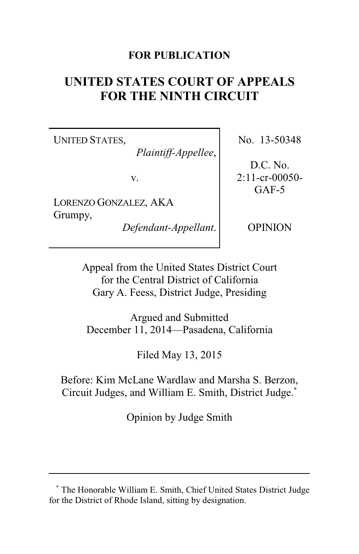### **FOR PUBLICATION**

# **UNITED STATES COURT OF APPEALS FOR THE NINTH CIRCUIT**

UNITED STATES,

*Plaintiff-Appellee*,

v.

LORENZO GONZALEZ, AKA Grumpy,

*Defendant-Appellant*.

No. 13-50348

D.C. No. 2:11-cr-00050- GAF-5

OPINION

Appeal from the United States District Court for the Central District of California Gary A. Feess, District Judge, Presiding

Argued and Submitted December 11, 2014—Pasadena, California

Filed May 13, 2015

Before: Kim McLane Wardlaw and Marsha S. Berzon, Circuit Judges, and William E. Smith, District Judge.**\***

Opinion by Judge Smith

**<sup>\*</sup>** The Honorable William E. Smith, Chief United States District Judge for the District of Rhode Island, sitting by designation.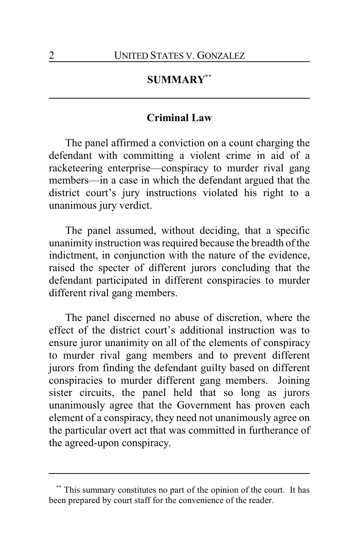## **SUMMARY\*\***

#### **Criminal Law**

The panel affirmed a conviction on a count charging the defendant with committing a violent crime in aid of a racketeering enterprise—conspiracy to murder rival gang members—in a case in which the defendant argued that the district court's jury instructions violated his right to a unanimous jury verdict.

The panel assumed, without deciding, that a specific unanimity instruction was required because the breadth of the indictment, in conjunction with the nature of the evidence, raised the specter of different jurors concluding that the defendant participated in different conspiracies to murder different rival gang members.

The panel discerned no abuse of discretion, where the effect of the district court's additional instruction was to ensure juror unanimity on all of the elements of conspiracy to murder rival gang members and to prevent different jurors from finding the defendant guilty based on different conspiracies to murder different gang members. Joining sister circuits, the panel held that so long as jurors unanimously agree that the Government has proven each element of a conspiracy, they need not unanimously agree on the particular overt act that was committed in furtherance of the agreed-upon conspiracy.

This summary constitutes no part of the opinion of the court. It has been prepared by court staff for the convenience of the reader.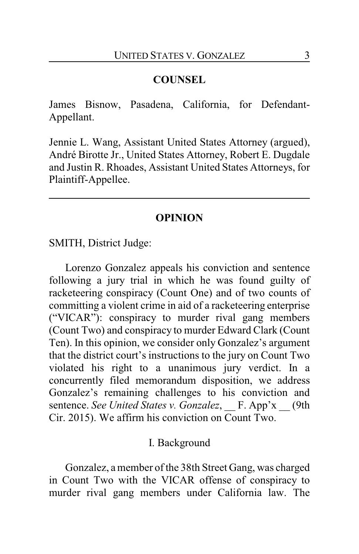#### **COUNSEL**

James Bisnow, Pasadena, California, for Defendant-Appellant.

Jennie L. Wang, Assistant United States Attorney (argued), André Birotte Jr., United States Attorney, Robert E. Dugdale and Justin R. Rhoades, Assistant United States Attorneys, for Plaintiff-Appellee.

#### **OPINION**

SMITH, District Judge:

Lorenzo Gonzalez appeals his conviction and sentence following a jury trial in which he was found guilty of racketeering conspiracy (Count One) and of two counts of committing a violent crime in aid of a racketeering enterprise ("VICAR"): conspiracy to murder rival gang members (Count Two) and conspiracy to murder Edward Clark (Count Ten). In this opinion, we consider only Gonzalez's argument that the district court's instructions to the jury on Count Two violated his right to a unanimous jury verdict. In a concurrently filed memorandum disposition, we address Gonzalez's remaining challenges to his conviction and sentence. *See United States v. Gonzalez*, F. App'x (9th Cir. 2015). We affirm his conviction on Count Two.

#### I. Background

Gonzalez, a member of the 38th Street Gang, was charged in Count Two with the VICAR offense of conspiracy to murder rival gang members under California law. The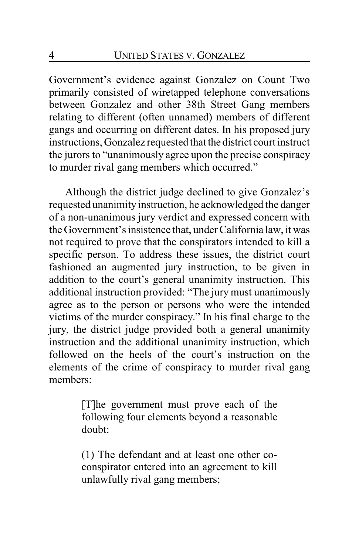Government's evidence against Gonzalez on Count Two primarily consisted of wiretapped telephone conversations between Gonzalez and other 38th Street Gang members relating to different (often unnamed) members of different gangs and occurring on different dates. In his proposed jury instructions, Gonzalez requested that the district court instruct the jurors to "unanimously agree upon the precise conspiracy to murder rival gang members which occurred."

Although the district judge declined to give Gonzalez's requested unanimity instruction, he acknowledged the danger of a non-unanimous jury verdict and expressed concern with the Government's insistence that, under California law, it was not required to prove that the conspirators intended to kill a specific person. To address these issues, the district court fashioned an augmented jury instruction, to be given in addition to the court's general unanimity instruction. This additional instruction provided: "The jury must unanimously agree as to the person or persons who were the intended victims of the murder conspiracy." In his final charge to the jury, the district judge provided both a general unanimity instruction and the additional unanimity instruction, which followed on the heels of the court's instruction on the elements of the crime of conspiracy to murder rival gang members:

> [T]he government must prove each of the following four elements beyond a reasonable doubt:

> (1) The defendant and at least one other coconspirator entered into an agreement to kill unlawfully rival gang members;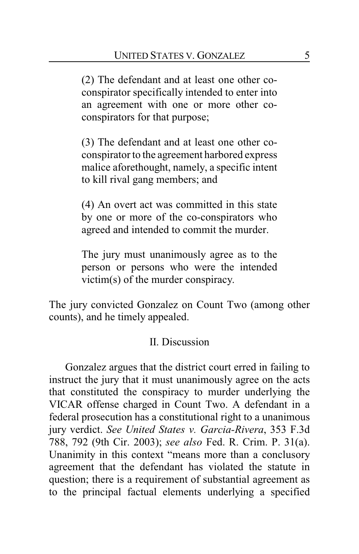(2) The defendant and at least one other coconspirator specifically intended to enter into an agreement with one or more other coconspirators for that purpose;

(3) The defendant and at least one other coconspirator to the agreement harbored express malice aforethought, namely, a specific intent to kill rival gang members; and

(4) An overt act was committed in this state by one or more of the co-conspirators who agreed and intended to commit the murder.

The jury must unanimously agree as to the person or persons who were the intended victim(s) of the murder conspiracy.

The jury convicted Gonzalez on Count Two (among other counts), and he timely appealed.

#### II. Discussion

Gonzalez argues that the district court erred in failing to instruct the jury that it must unanimously agree on the acts that constituted the conspiracy to murder underlying the VICAR offense charged in Count Two. A defendant in a federal prosecution has a constitutional right to a unanimous jury verdict. *See United States v. Garcia-Rivera*, 353 F.3d 788, 792 (9th Cir. 2003); *see also* Fed. R. Crim. P. 31(a). Unanimity in this context "means more than a conclusory agreement that the defendant has violated the statute in question; there is a requirement of substantial agreement as to the principal factual elements underlying a specified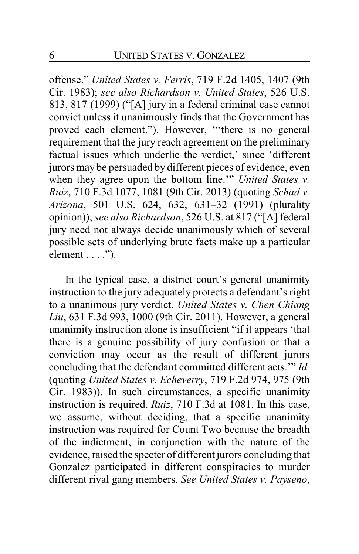offense." *United States v. Ferris*, 719 F.2d 1405, 1407 (9th Cir. 1983); *see also Richardson v. United States*, 526 U.S. 813, 817 (1999) ("[A] jury in a federal criminal case cannot convict unless it unanimously finds that the Government has proved each element."). However, "'there is no general requirement that the jury reach agreement on the preliminary factual issues which underlie the verdict,' since 'different jurors may be persuaded by different pieces of evidence, even when they agree upon the bottom line.'" *United States v. Ruiz*, 710 F.3d 1077, 1081 (9th Cir. 2013) (quoting *Schad v. Arizona*, 501 U.S. 624, 632, 631–32 (1991) (plurality opinion)); *see also Richardson*, 526 U.S. at 817 ("[A] federal jury need not always decide unanimously which of several possible sets of underlying brute facts make up a particular  $element \ldots$ ").

In the typical case, a district court's general unanimity instruction to the jury adequately protects a defendant's right to a unanimous jury verdict. *United States v. Chen Chiang Liu*, 631 F.3d 993, 1000 (9th Cir. 2011). However, a general unanimity instruction alone is insufficient "if it appears 'that there is a genuine possibility of jury confusion or that a conviction may occur as the result of different jurors concluding that the defendant committed different acts.'" *Id.* (quoting *United States v. Echeverry*, 719 F.2d 974, 975 (9th Cir. 1983)). In such circumstances, a specific unanimity instruction is required. *Ruiz*, 710 F.3d at 1081. In this case, we assume, without deciding, that a specific unanimity instruction was required for Count Two because the breadth of the indictment, in conjunction with the nature of the evidence, raised the specter of different jurors concluding that Gonzalez participated in different conspiracies to murder different rival gang members. *See United States v. Payseno*,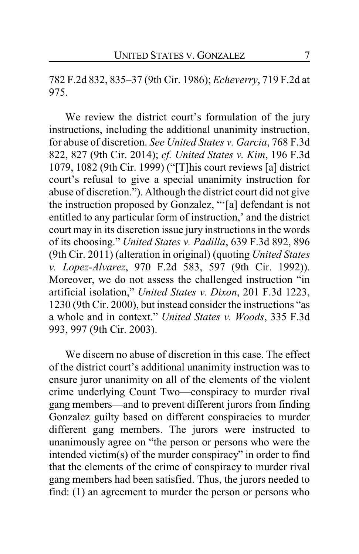782 F.2d 832, 835–37 (9th Cir. 1986); *Echeverry*, 719 F.2d at 975.

We review the district court's formulation of the jury instructions, including the additional unanimity instruction, for abuse of discretion. *See United States v. Garcia*, 768 F.3d 822, 827 (9th Cir. 2014); *cf. United States v. Kim*, 196 F.3d 1079, 1082 (9th Cir. 1999) ("[T]his court reviews [a] district court's refusal to give a special unanimity instruction for abuse of discretion."). Although the district court did not give the instruction proposed by Gonzalez, "'[a] defendant is not entitled to any particular form of instruction,' and the district court may in its discretion issue jury instructions in the words of its choosing." *United States v. Padilla*, 639 F.3d 892, 896 (9th Cir. 2011) (alteration in original) (quoting *United States v. Lopez-Alvarez*, 970 F.2d 583, 597 (9th Cir. 1992)). Moreover, we do not assess the challenged instruction "in artificial isolation," *United States v. Dixon*, 201 F.3d 1223, 1230 (9th Cir. 2000), but instead consider the instructions "as a whole and in context." *United States v. Woods*, 335 F.3d 993, 997 (9th Cir. 2003).

We discern no abuse of discretion in this case. The effect of the district court's additional unanimity instruction was to ensure juror unanimity on all of the elements of the violent crime underlying Count Two—conspiracy to murder rival gang members—and to prevent different jurors from finding Gonzalez guilty based on different conspiracies to murder different gang members. The jurors were instructed to unanimously agree on "the person or persons who were the intended victim(s) of the murder conspiracy" in order to find that the elements of the crime of conspiracy to murder rival gang members had been satisfied. Thus, the jurors needed to find: (1) an agreement to murder the person or persons who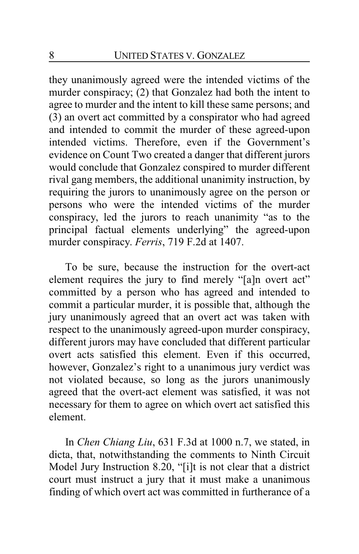they unanimously agreed were the intended victims of the murder conspiracy; (2) that Gonzalez had both the intent to agree to murder and the intent to kill these same persons; and (3) an overt act committed by a conspirator who had agreed and intended to commit the murder of these agreed-upon intended victims. Therefore, even if the Government's evidence on Count Two created a danger that different jurors would conclude that Gonzalez conspired to murder different rival gang members, the additional unanimity instruction, by requiring the jurors to unanimously agree on the person or persons who were the intended victims of the murder conspiracy, led the jurors to reach unanimity "as to the principal factual elements underlying" the agreed-upon murder conspiracy. *Ferris*, 719 F.2d at 1407.

To be sure, because the instruction for the overt-act element requires the jury to find merely "[a]n overt act" committed by a person who has agreed and intended to commit a particular murder, it is possible that, although the jury unanimously agreed that an overt act was taken with respect to the unanimously agreed-upon murder conspiracy, different jurors may have concluded that different particular overt acts satisfied this element. Even if this occurred, however, Gonzalez's right to a unanimous jury verdict was not violated because, so long as the jurors unanimously agreed that the overt-act element was satisfied, it was not necessary for them to agree on which overt act satisfied this element.

In *Chen Chiang Liu*, 631 F.3d at 1000 n.7, we stated, in dicta, that, notwithstanding the comments to Ninth Circuit Model Jury Instruction 8.20, "[i]t is not clear that a district court must instruct a jury that it must make a unanimous finding of which overt act was committed in furtherance of a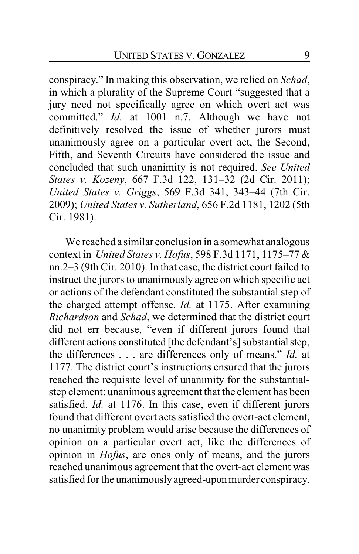conspiracy." In making this observation, we relied on *Schad*, in which a plurality of the Supreme Court "suggested that a jury need not specifically agree on which overt act was committed." *Id.* at 1001 n.7. Although we have not definitively resolved the issue of whether jurors must unanimously agree on a particular overt act, the Second, Fifth, and Seventh Circuits have considered the issue and concluded that such unanimity is not required. *See United States v. Kozeny*, 667 F.3d 122, 131–32 (2d Cir. 2011); *United States v. Griggs*, 569 F.3d 341, 343–44 (7th Cir. 2009); *United States v. Sutherland*, 656 F.2d 1181, 1202 (5th Cir. 1981).

We reached a similar conclusion in a somewhat analogous context in *United States v. Hofus*, 598 F.3d 1171, 1175–77 & nn.2–3 (9th Cir. 2010). In that case, the district court failed to instruct the jurors to unanimously agree on which specific act or actions of the defendant constituted the substantial step of the charged attempt offense. *Id.* at 1175. After examining *Richardson* and *Schad*, we determined that the district court did not err because, "even if different jurors found that different actions constituted [the defendant's] substantial step, the differences . . . are differences only of means." *Id.* at 1177. The district court's instructions ensured that the jurors reached the requisite level of unanimity for the substantialstep element: unanimous agreement that the element has been satisfied. *Id.* at 1176. In this case, even if different jurors found that different overt acts satisfied the overt-act element, no unanimity problem would arise because the differences of opinion on a particular overt act, like the differences of opinion in *Hofus*, are ones only of means, and the jurors reached unanimous agreement that the overt-act element was satisfied for the unanimously agreed-upon murder conspiracy.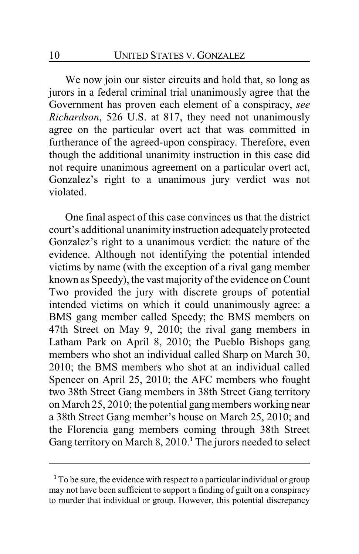We now join our sister circuits and hold that, so long as jurors in a federal criminal trial unanimously agree that the Government has proven each element of a conspiracy, *see Richardson*, 526 U.S. at 817, they need not unanimously agree on the particular overt act that was committed in furtherance of the agreed-upon conspiracy. Therefore, even though the additional unanimity instruction in this case did not require unanimous agreement on a particular overt act, Gonzalez's right to a unanimous jury verdict was not violated.

One final aspect of this case convinces us that the district court's additional unanimity instruction adequately protected Gonzalez's right to a unanimous verdict: the nature of the evidence. Although not identifying the potential intended victims by name (with the exception of a rival gang member known as Speedy), the vast majority of the evidence on Count Two provided the jury with discrete groups of potential intended victims on which it could unanimously agree: a BMS gang member called Speedy; the BMS members on 47th Street on May 9, 2010; the rival gang members in Latham Park on April 8, 2010; the Pueblo Bishops gang members who shot an individual called Sharp on March 30, 2010; the BMS members who shot at an individual called Spencer on April 25, 2010; the AFC members who fought two 38th Street Gang members in 38th Street Gang territory on March 25, 2010; the potential gang members working near a 38th Street Gang member's house on March 25, 2010; and the Florencia gang members coming through 38th Street Gang territory on March 8, 2010.**<sup>1</sup>** The jurors needed to select

**<sup>1</sup>** To be sure, the evidence with respect to a particular individual or group may not have been sufficient to support a finding of guilt on a conspiracy to murder that individual or group. However, this potential discrepancy